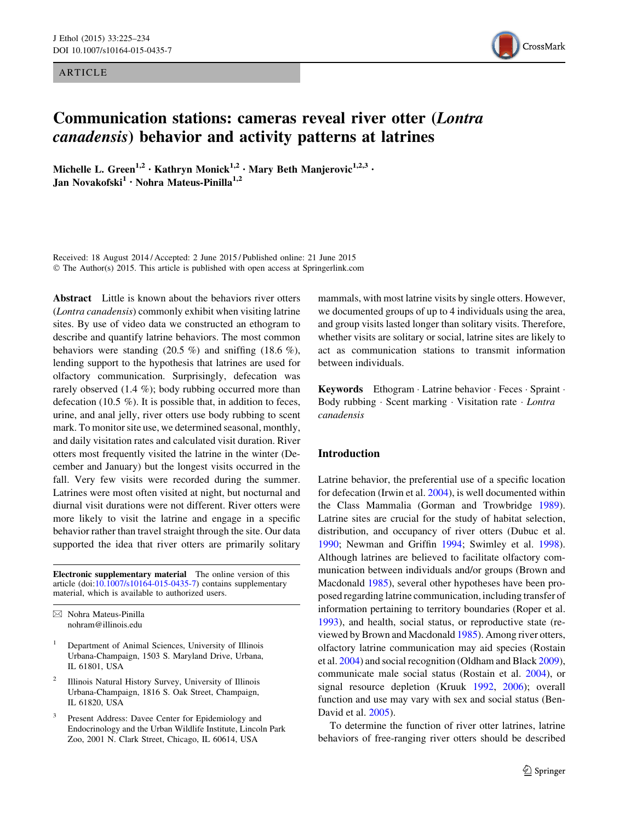**ARTICLE** 



# Communication stations: cameras reveal river otter (Lontra canadensis) behavior and activity patterns at latrines

Michelle L. Green<sup>1,2</sup> • Kathryn Monick<sup>1,2</sup> • Mary Beth Manjerovic<sup>1,2,3</sup> • Jan Novakofski $^1$  • Nohra Mateus-Pinilla<sup>1,2</sup>

Received: 18 August 2014 / Accepted: 2 June 2015 / Published online: 21 June 2015 © The Author(s) 2015. This article is published with open access at Springerlink.com

Abstract Little is known about the behaviors river otters (Lontra canadensis) commonly exhibit when visiting latrine sites. By use of video data we constructed an ethogram to describe and quantify latrine behaviors. The most common behaviors were standing  $(20.5 \%)$  and snifting  $(18.6 \%)$ , lending support to the hypothesis that latrines are used for olfactory communication. Surprisingly, defecation was rarely observed (1.4 %); body rubbing occurred more than defecation (10.5 %). It is possible that, in addition to feces, urine, and anal jelly, river otters use body rubbing to scent mark. To monitor site use, we determined seasonal, monthly, and daily visitation rates and calculated visit duration. River otters most frequently visited the latrine in the winter (December and January) but the longest visits occurred in the fall. Very few visits were recorded during the summer. Latrines were most often visited at night, but nocturnal and diurnal visit durations were not different. River otters were more likely to visit the latrine and engage in a specific behavior rather than travel straight through the site. Our data supported the idea that river otters are primarily solitary

Electronic supplementary material The online version of this article (doi:[10.1007/s10164-015-0435-7\)](http://dx.doi.org/10.1007/s10164-015-0435-7) contains supplementary material, which is available to authorized users.

 $\boxtimes$  Nohra Mateus-Pinilla nohram@illinois.edu

- <sup>1</sup> Department of Animal Sciences, University of Illinois Urbana-Champaign, 1503 S. Maryland Drive, Urbana, IL 61801, USA
- <sup>2</sup> Illinois Natural History Survey, University of Illinois Urbana-Champaign, 1816 S. Oak Street, Champaign, IL 61820, USA
- Present Address: Davee Center for Epidemiology and Endocrinology and the Urban Wildlife Institute, Lincoln Park Zoo, 2001 N. Clark Street, Chicago, IL 60614, USA

mammals, with most latrine visits by single otters. However, we documented groups of up to 4 individuals using the area, and group visits lasted longer than solitary visits. Therefore, whether visits are solitary or social, latrine sites are likely to act as communication stations to transmit information between individuals.

Keywords Ethogram · Latrine behavior · Feces · Spraint · Body rubbing · Scent marking · Visitation rate · Lontra canadensis

# Introduction

Latrine behavior, the preferential use of a specific location for defecation (Irwin et al. [2004\)](#page-9-0), is well documented within the Class Mammalia (Gorman and Trowbridge [1989](#page-9-0)). Latrine sites are crucial for the study of habitat selection, distribution, and occupancy of river otters (Dubuc et al. [1990](#page-8-0); Newman and Griffin [1994;](#page-9-0) Swimley et al. [1998](#page-9-0)). Although latrines are believed to facilitate olfactory communication between individuals and/or groups (Brown and Macdonald [1985\)](#page-8-0), several other hypotheses have been proposed regarding latrine communication, including transfer of information pertaining to territory boundaries (Roper et al. [1993](#page-9-0)), and health, social status, or reproductive state (reviewed by Brown and Macdonald [1985\)](#page-8-0). Among river otters, olfactory latrine communication may aid species (Rostain et al. [2004\)](#page-9-0) and social recognition (Oldham and Black [2009](#page-9-0)), communicate male social status (Rostain et al. [2004\)](#page-9-0), or signal resource depletion (Kruuk [1992](#page-9-0), [2006\)](#page-9-0); overall function and use may vary with sex and social status (Ben-David et al. [2005](#page-8-0)).

To determine the function of river otter latrines, latrine behaviors of free-ranging river otters should be described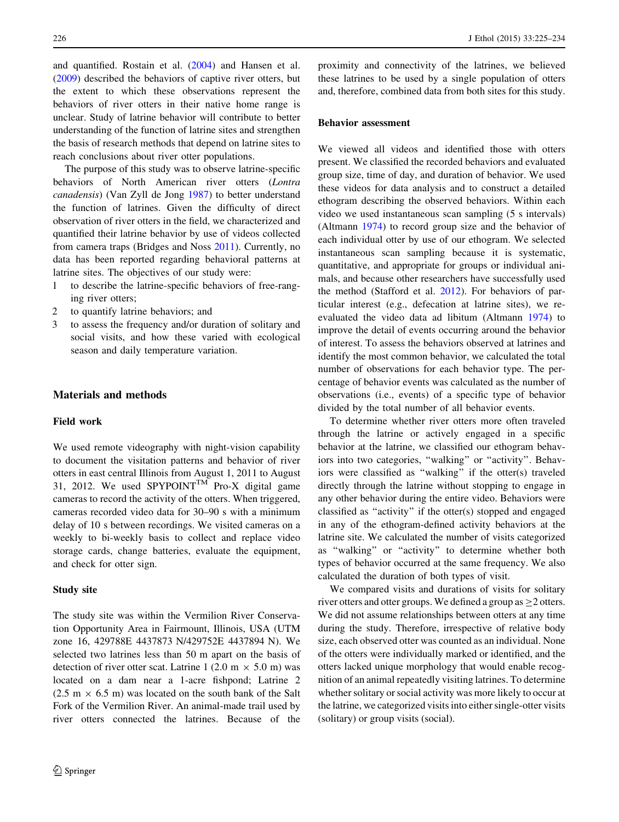and quantified. Rostain et al. [\(2004](#page-9-0)) and Hansen et al. [\(2009](#page-9-0)) described the behaviors of captive river otters, but the extent to which these observations represent the behaviors of river otters in their native home range is unclear. Study of latrine behavior will contribute to better understanding of the function of latrine sites and strengthen the basis of research methods that depend on latrine sites to reach conclusions about river otter populations.

The purpose of this study was to observe latrine-specific behaviors of North American river otters (Lontra canadensis) (Van Zyll de Jong [1987\)](#page-9-0) to better understand the function of latrines. Given the difficulty of direct observation of river otters in the field, we characterized and quantified their latrine behavior by use of videos collected from camera traps (Bridges and Noss [2011](#page-8-0)). Currently, no data has been reported regarding behavioral patterns at latrine sites. The objectives of our study were:

- 1 to describe the latrine-specific behaviors of free-ranging river otters;
- 2 to quantify latrine behaviors; and
- 3 to assess the frequency and/or duration of solitary and social visits, and how these varied with ecological season and daily temperature variation.

# Materials and methods

# Field work

We used remote videography with night-vision capability to document the visitation patterns and behavior of river otters in east central Illinois from August 1, 2011 to August 31, 2012. We used SPYPOINT<sup>TM</sup> Pro-X digital game cameras to record the activity of the otters. When triggered, cameras recorded video data for 30–90 s with a minimum delay of 10 s between recordings. We visited cameras on a weekly to bi-weekly basis to collect and replace video storage cards, change batteries, evaluate the equipment, and check for otter sign.

# Study site

The study site was within the Vermilion River Conservation Opportunity Area in Fairmount, Illinois, USA (UTM zone 16, 429788E 4437873 N/429752E 4437894 N). We selected two latrines less than 50 m apart on the basis of detection of river otter scat. Latrine 1 (2.0 m  $\times$  5.0 m) was located on a dam near a 1-acre fishpond; Latrine 2  $(2.5 \text{ m} \times 6.5 \text{ m})$  was located on the south bank of the Salt Fork of the Vermilion River. An animal-made trail used by river otters connected the latrines. Because of the proximity and connectivity of the latrines, we believed these latrines to be used by a single population of otters and, therefore, combined data from both sites for this study.

# Behavior assessment

We viewed all videos and identified those with otters present. We classified the recorded behaviors and evaluated group size, time of day, and duration of behavior. We used these videos for data analysis and to construct a detailed ethogram describing the observed behaviors. Within each video we used instantaneous scan sampling (5 s intervals) (Altmann [1974](#page-8-0)) to record group size and the behavior of each individual otter by use of our ethogram. We selected instantaneous scan sampling because it is systematic, quantitative, and appropriate for groups or individual animals, and because other researchers have successfully used the method (Stafford et al. [2012\)](#page-9-0). For behaviors of particular interest (e.g., defecation at latrine sites), we reevaluated the video data ad libitum (Altmann [1974](#page-8-0)) to improve the detail of events occurring around the behavior of interest. To assess the behaviors observed at latrines and identify the most common behavior, we calculated the total number of observations for each behavior type. The percentage of behavior events was calculated as the number of observations (i.e., events) of a specific type of behavior divided by the total number of all behavior events.

To determine whether river otters more often traveled through the latrine or actively engaged in a specific behavior at the latrine, we classified our ethogram behaviors into two categories, ''walking'' or ''activity''. Behaviors were classified as ''walking'' if the otter(s) traveled directly through the latrine without stopping to engage in any other behavior during the entire video. Behaviors were classified as ''activity'' if the otter(s) stopped and engaged in any of the ethogram-defined activity behaviors at the latrine site. We calculated the number of visits categorized as ''walking'' or ''activity'' to determine whether both types of behavior occurred at the same frequency. We also calculated the duration of both types of visit.

We compared visits and durations of visits for solitary river otters and otter groups. We defined a group as  $>$  2 otters. We did not assume relationships between otters at any time during the study. Therefore, irrespective of relative body size, each observed otter was counted as an individual. None of the otters were individually marked or identified, and the otters lacked unique morphology that would enable recognition of an animal repeatedly visiting latrines. To determine whether solitary or social activity was more likely to occur at the latrine, we categorized visits into either single-otter visits (solitary) or group visits (social).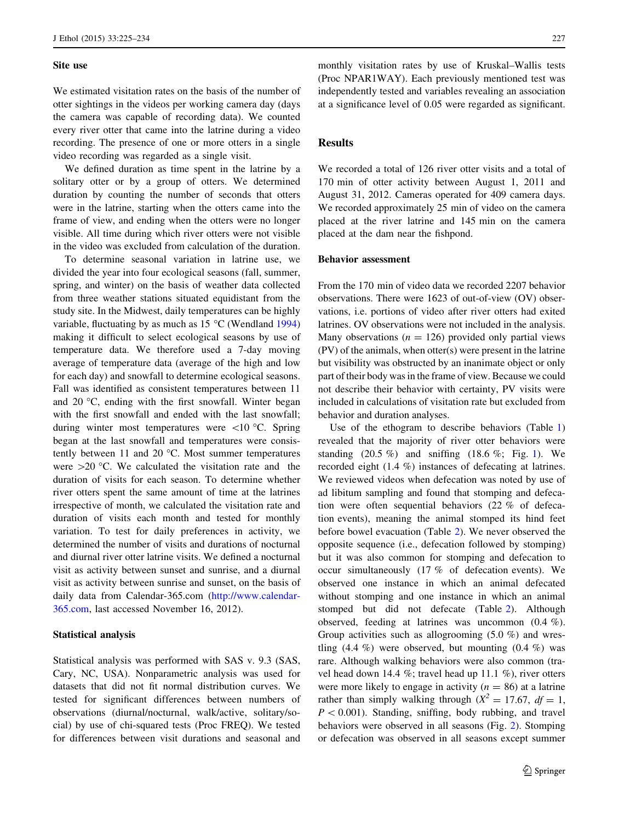#### Site use

We estimated visitation rates on the basis of the number of otter sightings in the videos per working camera day (days the camera was capable of recording data). We counted every river otter that came into the latrine during a video recording. The presence of one or more otters in a single video recording was regarded as a single visit.

We defined duration as time spent in the latrine by a solitary otter or by a group of otters. We determined duration by counting the number of seconds that otters were in the latrine, starting when the otters came into the frame of view, and ending when the otters were no longer visible. All time during which river otters were not visible in the video was excluded from calculation of the duration.

To determine seasonal variation in latrine use, we divided the year into four ecological seasons (fall, summer, spring, and winter) on the basis of weather data collected from three weather stations situated equidistant from the study site. In the Midwest, daily temperatures can be highly variable, fluctuating by as much as  $15^{\circ}$ C (Wendland [1994\)](#page-9-0) making it difficult to select ecological seasons by use of temperature data. We therefore used a 7-day moving average of temperature data (average of the high and low for each day) and snowfall to determine ecological seasons. Fall was identified as consistent temperatures between 11 and 20  $\degree$ C, ending with the first snowfall. Winter began with the first snowfall and ended with the last snowfall; during winter most temperatures were  $\lt 10$  °C. Spring began at the last snowfall and temperatures were consistently between 11 and 20  $^{\circ}$ C. Most summer temperatures were  $>20$  °C. We calculated the visitation rate and the duration of visits for each season. To determine whether river otters spent the same amount of time at the latrines irrespective of month, we calculated the visitation rate and duration of visits each month and tested for monthly variation. To test for daily preferences in activity, we determined the number of visits and durations of nocturnal and diurnal river otter latrine visits. We defined a nocturnal visit as activity between sunset and sunrise, and a diurnal visit as activity between sunrise and sunset, on the basis of daily data from Calendar-365.com ([http://www.calendar-](http://www.calendar-365.com)[365.com,](http://www.calendar-365.com) last accessed November 16, 2012).

#### Statistical analysis

Statistical analysis was performed with SAS v. 9.3 (SAS, Cary, NC, USA). Nonparametric analysis was used for datasets that did not fit normal distribution curves. We tested for significant differences between numbers of observations (diurnal/nocturnal, walk/active, solitary/social) by use of chi-squared tests (Proc FREQ). We tested for differences between visit durations and seasonal and monthly visitation rates by use of Kruskal–Wallis tests (Proc NPAR1WAY). Each previously mentioned test was independently tested and variables revealing an association at a significance level of 0.05 were regarded as significant.

# **Results**

We recorded a total of 126 river otter visits and a total of 170 min of otter activity between August 1, 2011 and August 31, 2012. Cameras operated for 409 camera days. We recorded approximately 25 min of video on the camera placed at the river latrine and 145 min on the camera placed at the dam near the fishpond.

## Behavior assessment

From the 170 min of video data we recorded 2207 behavior observations. There were 1623 of out-of-view (OV) observations, i.e. portions of video after river otters had exited latrines. OV observations were not included in the analysis. Many observations ( $n = 126$ ) provided only partial views (PV) of the animals, when otter(s) were present in the latrine but visibility was obstructed by an inanimate object or only part of their body was in the frame of view. Because we could not describe their behavior with certainty, PV visits were included in calculations of visitation rate but excluded from behavior and duration analyses.

Use of the ethogram to describe behaviors (Table [1\)](#page-3-0) revealed that the majority of river otter behaviors were standing  $(20.5\%)$  and snifting  $(18.6\%;$  $(18.6\%;$  $(18.6\%;$  Fig. 1). We recorded eight (1.4 %) instances of defecating at latrines. We reviewed videos when defecation was noted by use of ad libitum sampling and found that stomping and defecation were often sequential behaviors (22 % of defecation events), meaning the animal stomped its hind feet before bowel evacuation (Table [2\)](#page-4-0). We never observed the opposite sequence (i.e., defecation followed by stomping) but it was also common for stomping and defecation to occur simultaneously (17 % of defecation events). We observed one instance in which an animal defecated without stomping and one instance in which an animal stomped but did not defecate (Table [2\)](#page-4-0). Although observed, feeding at latrines was uncommon (0.4 %). Group activities such as allogrooming (5.0 %) and wrestling  $(4.4\%)$  were observed, but mounting  $(0.4\%)$  was rare. Although walking behaviors were also common (travel head down 14.4 %; travel head up 11.1 %), river otters were more likely to engage in activity  $(n = 86)$  at a latrine rather than simply walking through  $(X^2 = 17.67, df = 1,$  $P < 0.001$ ). Standing, sniffing, body rubbing, and travel behaviors were observed in all seasons (Fig. [2](#page-4-0)). Stomping or defecation was observed in all seasons except summer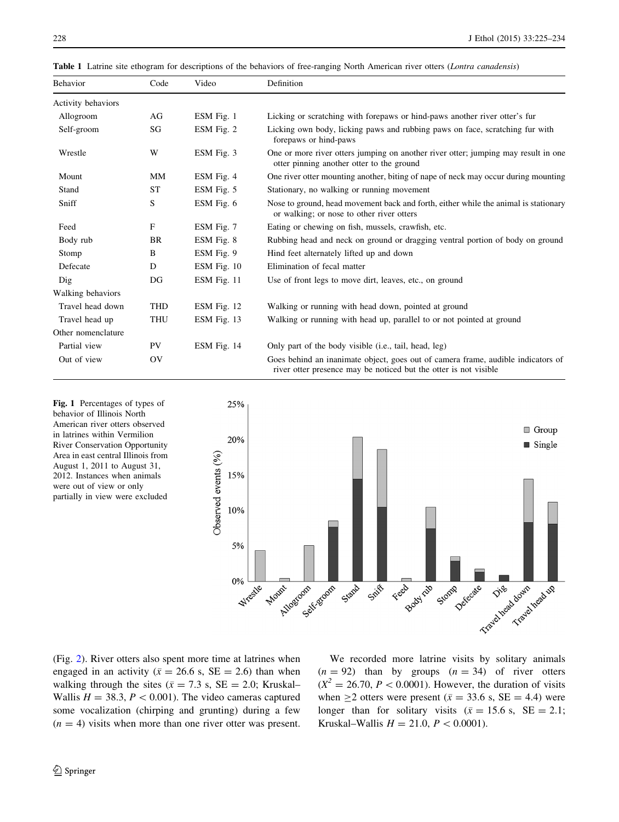<span id="page-3-0"></span>Table 1 Latrine site ethogram for descriptions of the behaviors of free-ranging North American river otters (Lontra canadensis)

| Behavior           | Code       | Video          | Definition                                                                                                                                           |  |
|--------------------|------------|----------------|------------------------------------------------------------------------------------------------------------------------------------------------------|--|
| Activity behaviors |            |                |                                                                                                                                                      |  |
| Allogroom          | AG         | ESM Fig. 1     | Licking or scratching with forepaws or hind-paws another river otter's fur                                                                           |  |
| Self-groom         | SG         | ESM Fig. 2     | Licking own body, licking paws and rubbing paws on face, scratching fur with<br>forepaws or hind-paws                                                |  |
| Wrestle            | W          | $ESM$ Fig. $3$ | One or more river otters jumping on another river otter; jumping may result in one<br>otter pinning another otter to the ground                      |  |
| Mount              | MМ         | ESM Fig. 4     | One river otter mounting another, biting of nape of neck may occur during mounting                                                                   |  |
| Stand              | <b>ST</b>  | ESM Fig. 5     | Stationary, no walking or running movement                                                                                                           |  |
| Sniff              | S          | ESM Fig. 6     | Nose to ground, head movement back and forth, either while the animal is stationary<br>or walking; or nose to other river otters                     |  |
| Feed               | F          | ESM Fig. 7     | Eating or chewing on fish, mussels, crawfish, etc.                                                                                                   |  |
| Body rub           | <b>BR</b>  | ESM Fig. 8     | Rubbing head and neck on ground or dragging ventral portion of body on ground                                                                        |  |
| Stomp              | B          | ESM Fig. 9     | Hind feet alternately lifted up and down                                                                                                             |  |
| Defecate           | D          | ESM Fig. 10    | Elimination of fecal matter                                                                                                                          |  |
| Dig                | DG         | ESM Fig. 11    | Use of front legs to move dirt, leaves, etc., on ground                                                                                              |  |
| Walking behaviors  |            |                |                                                                                                                                                      |  |
| Travel head down   | <b>THD</b> | ESM Fig. 12    | Walking or running with head down, pointed at ground                                                                                                 |  |
| Travel head up     | <b>THU</b> | ESM Fig. 13    | Walking or running with head up, parallel to or not pointed at ground                                                                                |  |
| Other nomenclature |            |                |                                                                                                                                                      |  |
| Partial view       | PV         | ESM Fig. 14    | Only part of the body visible (i.e., tail, head, leg)                                                                                                |  |
| Out of view        | <b>OV</b>  |                | Goes behind an inanimate object, goes out of camera frame, audible indicators of<br>river otter presence may be noticed but the otter is not visible |  |

Fig. 1 Percentages of types of behavior of Illinois North American river otters observed in latrines within Vermilion River Conservation Opportunity Area in east central Illinois from August 1, 2011 to August 31, 2012. Instances when animals were out of view or only partially in view were excluded



(Fig. [2](#page-4-0)). River otters also spent more time at latrines when engaged in an activity ( $\bar{x} = 26.6$  s, SE = 2.6) than when walking through the sites ( $\bar{x} = 7.3$  s, SE = 2.0; Kruskal– Wallis  $H = 38.3, P < 0.001$ . The video cameras captured some vocalization (chirping and grunting) during a few  $(n = 4)$  visits when more than one river otter was present.

 $(n = 92)$  than by groups  $(n = 34)$  of river otters  $(X^2 = 26.70, P < 0.0001)$ . However, the duration of visits when  $\geq$ 2 otters were present ( $\bar{x} = 33.6$  s, SE = 4.4) were longer than for solitary visits ( $\bar{x} = 15.6$  s,  $SE = 2.1$ ; Kruskal–Wallis  $H = 21.0, P < 0.0001$ .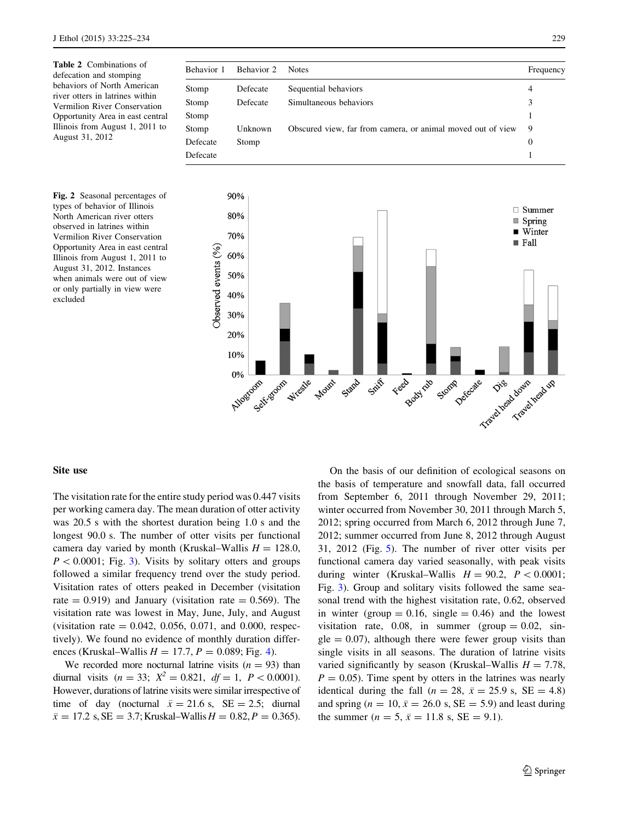<span id="page-4-0"></span>Table 2 Combinations of defecation and stomping behaviors of North American river otters in latrines within Vermilion River Conservation Opportunity Area in east central Illinois from August 1, 2011 to August 31, 2012

Fig. 2 Seasonal percentages of types of behavior of Illinois North American river otters observed in latrines within Vermilion River Conservation Opportunity Area in east central Illinois from August 1, 2011 to August 31, 2012. Instances when animals were out of view or only partially in view were excluded

| Behavior 1 | <b>Behavior 2</b> | <b>Notes</b>                                                | Frequency |
|------------|-------------------|-------------------------------------------------------------|-----------|
| Stomp      | Defecate          | Sequential behaviors                                        | 4         |
| Stomp      | Defecate          | Simultaneous behaviors                                      | 3         |
| Stomp      |                   |                                                             |           |
| Stomp      | Unknown           | Obscured view, far from camera, or animal moved out of view | 9         |
| Defecate   | Stomp             |                                                             | 0         |
| Defecate   |                   |                                                             |           |



#### Site use

The visitation rate for the entire study period was 0.447 visits per working camera day. The mean duration of otter activity was 20.5 s with the shortest duration being 1.0 s and the longest 90.0 s. The number of otter visits per functional camera day varied by month (Kruskal–Wallis  $H = 128.0$ ,  $P < 0.0001$ ; Fig. [3](#page-5-0)). Visits by solitary otters and groups followed a similar frequency trend over the study period. Visitation rates of otters peaked in December (visitation rate  $= 0.919$  and January (visitation rate  $= 0.569$ ). The visitation rate was lowest in May, June, July, and August (visitation rate  $= 0.042, 0.056, 0.071,$  and 0.000, respectively). We found no evidence of monthly duration differences (Kruskal–Wallis  $H = 17.7, P = 0.089;$  Fig. [4\)](#page-5-0).

We recorded more nocturnal latrine visits  $(n = 93)$  than diurnal visits ( $n = 33$ ;  $X^2 = 0.821$ ,  $df = 1$ ,  $P < 0.0001$ ). However, durations of latrine visits were similar irrespective of time of day (nocturnal  $\bar{x} = 21.6$  s,  $SE = 2.5$ ; diurnal  $\bar{x} = 17.2 \text{ s}, \text{SE} = 3.7; \text{Kruskal-Wallis } H = 0.82, P = 0.365.$ 

On the basis of our definition of ecological seasons on the basis of temperature and snowfall data, fall occurred from September 6, 2011 through November 29, 2011; winter occurred from November 30, 2011 through March 5, 2012; spring occurred from March 6, 2012 through June 7, 2012; summer occurred from June 8, 2012 through August 31, 2012 (Fig. [5](#page-6-0)). The number of river otter visits per functional camera day varied seasonally, with peak visits during winter (Kruskal–Wallis  $H = 90.2$ ,  $P < 0.0001$ ; Fig. [3](#page-5-0)). Group and solitary visits followed the same seasonal trend with the highest visitation rate, 0.62, observed in winter (group  $= 0.16$ , single  $= 0.46$ ) and the lowest visitation rate, 0.08, in summer (group  $= 0.02$ , sin $gle = 0.07$ ), although there were fewer group visits than single visits in all seasons. The duration of latrine visits varied significantly by season (Kruskal–Wallis  $H = 7.78$ ,  $P = 0.05$ . Time spent by otters in the latrines was nearly identical during the fall ( $n = 28$ ,  $\bar{x} = 25.9$  s,  $SE = 4.8$ ) and spring ( $n = 10$ ,  $\bar{x} = 26.0$  s,  $SE = 5.9$ ) and least during the summer ( $n = 5$ ,  $\bar{x} = 11.8$  s,  $SE = 9.1$ ).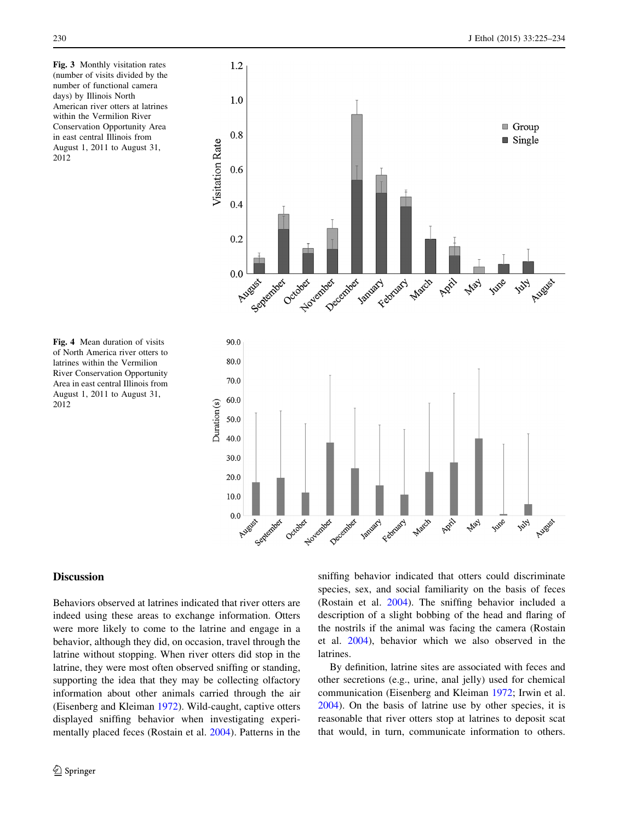<span id="page-5-0"></span>Fig. 3 Monthly visitation rates (number of visits divided by the number of functional camera days) by Illinois North American river otters at latrines within the Vermilion River Conservation Opportunity Area in east central Illinois from August 1, 2011 to August 31, 2012



Fig. 4 Mean duration of visits of North America river otters to latrines within the Vermilion River Conservation Opportunity Area in east central Illinois from August 1, 2011 to August 31, 2012

# **Discussion**

Behaviors observed at latrines indicated that river otters are indeed using these areas to exchange information. Otters were more likely to come to the latrine and engage in a behavior, although they did, on occasion, travel through the latrine without stopping. When river otters did stop in the latrine, they were most often observed sniffing or standing, supporting the idea that they may be collecting olfactory information about other animals carried through the air (Eisenberg and Kleiman [1972](#page-9-0)). Wild-caught, captive otters displayed sniffing behavior when investigating experimentally placed feces (Rostain et al. [2004\)](#page-9-0). Patterns in the sniffing behavior indicated that otters could discriminate species, sex, and social familiarity on the basis of feces (Rostain et al. [2004\)](#page-9-0). The sniffing behavior included a description of a slight bobbing of the head and flaring of the nostrils if the animal was facing the camera (Rostain et al. [2004\)](#page-9-0), behavior which we also observed in the latrines.

By definition, latrine sites are associated with feces and other secretions (e.g., urine, anal jelly) used for chemical communication (Eisenberg and Kleiman [1972](#page-9-0); Irwin et al. [2004](#page-9-0)). On the basis of latrine use by other species, it is reasonable that river otters stop at latrines to deposit scat that would, in turn, communicate information to others.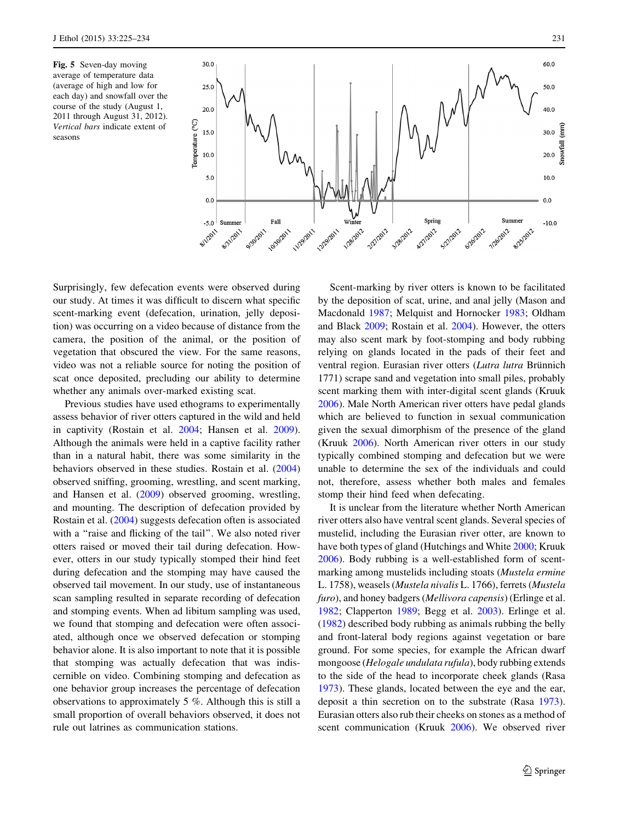<span id="page-6-0"></span>Fig. 5 Seven-day moving average of temperature data (average of high and low for each day) and snowfall over the course of the study (August 1, 2011 through August 31, 2012). Vertical bars indicate extent of seasons



Surprisingly, few defecation events were observed during our study. At times it was difficult to discern what specific scent-marking event (defecation, urination, jelly deposition) was occurring on a video because of distance from the camera, the position of the animal, or the position of vegetation that obscured the view. For the same reasons, video was not a reliable source for noting the position of scat once deposited, precluding our ability to determine whether any animals over-marked existing scat.

Previous studies have used ethograms to experimentally assess behavior of river otters captured in the wild and held in captivity (Rostain et al. [2004;](#page-9-0) Hansen et al. [2009](#page-9-0)). Although the animals were held in a captive facility rather than in a natural habit, there was some similarity in the behaviors observed in these studies. Rostain et al. ([2004\)](#page-9-0) observed sniffing, grooming, wrestling, and scent marking, and Hansen et al. ([2009\)](#page-9-0) observed grooming, wrestling, and mounting. The description of defecation provided by Rostain et al. [\(2004](#page-9-0)) suggests defecation often is associated with a "raise and flicking of the tail". We also noted river otters raised or moved their tail during defecation. However, otters in our study typically stomped their hind feet during defecation and the stomping may have caused the observed tail movement. In our study, use of instantaneous scan sampling resulted in separate recording of defecation and stomping events. When ad libitum sampling was used, we found that stomping and defecation were often associated, although once we observed defecation or stomping behavior alone. It is also important to note that it is possible that stomping was actually defecation that was indiscernible on video. Combining stomping and defecation as one behavior group increases the percentage of defecation observations to approximately 5 %. Although this is still a small proportion of overall behaviors observed, it does not rule out latrines as communication stations.

Scent-marking by river otters is known to be facilitated by the deposition of scat, urine, and anal jelly (Mason and Macdonald [1987;](#page-9-0) Melquist and Hornocker [1983](#page-9-0); Oldham and Black [2009;](#page-9-0) Rostain et al. [2004\)](#page-9-0). However, the otters may also scent mark by foot-stomping and body rubbing relying on glands located in the pads of their feet and ventral region. Eurasian river otters (Lutra lutra Brünnich 1771) scrape sand and vegetation into small piles, probably scent marking them with inter-digital scent glands (Kruuk [2006](#page-9-0)). Male North American river otters have pedal glands which are believed to function in sexual communication given the sexual dimorphism of the presence of the gland (Kruuk [2006](#page-9-0)). North American river otters in our study typically combined stomping and defecation but we were unable to determine the sex of the individuals and could not, therefore, assess whether both males and females stomp their hind feed when defecating.

It is unclear from the literature whether North American river otters also have ventral scent glands. Several species of mustelid, including the Eurasian river otter, are known to have both types of gland (Hutchings and White [2000;](#page-9-0) Kruuk [2006](#page-9-0)). Body rubbing is a well-established form of scentmarking among mustelids including stoats (Mustela ermine L. 1758), weasels (Mustela nivalis L. 1766), ferrets (Mustela furo), and honey badgers (Mellivora capensis) (Erlinge et al. [1982](#page-9-0); Clapperton [1989;](#page-8-0) Begg et al. [2003](#page-8-0)). Erlinge et al. [\(1982](#page-9-0)) described body rubbing as animals rubbing the belly and front-lateral body regions against vegetation or bare ground. For some species, for example the African dwarf mongoose (Helogale undulata rufula), body rubbing extends to the side of the head to incorporate cheek glands (Rasa [1973](#page-9-0)). These glands, located between the eye and the ear, deposit a thin secretion on to the substrate (Rasa [1973](#page-9-0)). Eurasian otters also rub their cheeks on stones as a method of scent communication (Kruuk [2006\)](#page-9-0). We observed river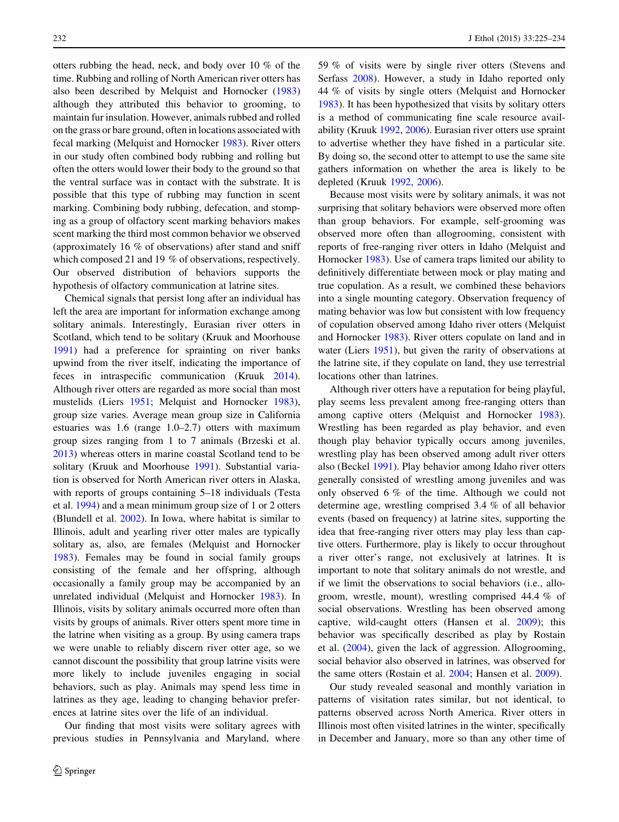otters rubbing the head, neck, and body over 10 % of the time. Rubbing and rolling of North American river otters has also been described by Melquist and Hornocker ([1983\)](#page-9-0) although they attributed this behavior to grooming, to maintain fur insulation. However, animals rubbed and rolled on the grass or bare ground, often in locations associated with fecal marking (Melquist and Hornocker [1983](#page-9-0)). River otters in our study often combined body rubbing and rolling but often the otters would lower their body to the ground so that the ventral surface was in contact with the substrate. It is possible that this type of rubbing may function in scent marking. Combining body rubbing, defecation, and stomping as a group of olfactory scent marking behaviors makes scent marking the third most common behavior we observed (approximately 16 % of observations) after stand and sniff which composed 21 and 19 % of observations, respectively. Our observed distribution of behaviors supports the hypothesis of olfactory communication at latrine sites.

Chemical signals that persist long after an individual has left the area are important for information exchange among solitary animals. Interestingly, Eurasian river otters in Scotland, which tend to be solitary (Kruuk and Moorhouse [1991\)](#page-9-0) had a preference for sprainting on river banks upwind from the river itself, indicating the importance of feces in intraspecific communication (Kruuk [2014](#page-9-0)). Although river otters are regarded as more social than most mustelids (Liers [1951;](#page-9-0) Melquist and Hornocker [1983](#page-9-0)), group size varies. Average mean group size in California estuaries was 1.6 (range 1.0–2.7) otters with maximum group sizes ranging from 1 to 7 animals (Brzeski et al. [2013\)](#page-8-0) whereas otters in marine coastal Scotland tend to be solitary (Kruuk and Moorhouse [1991\)](#page-9-0). Substantial variation is observed for North American river otters in Alaska, with reports of groups containing 5–18 individuals (Testa et al. [1994\)](#page-9-0) and a mean minimum group size of 1 or 2 otters (Blundell et al. [2002\)](#page-8-0). In Iowa, where habitat is similar to Illinois, adult and yearling river otter males are typically solitary as, also, are females (Melquist and Hornocker [1983\)](#page-9-0). Females may be found in social family groups consisting of the female and her offspring, although occasionally a family group may be accompanied by an unrelated individual (Melquist and Hornocker [1983](#page-9-0)). In Illinois, visits by solitary animals occurred more often than visits by groups of animals. River otters spent more time in the latrine when visiting as a group. By using camera traps we were unable to reliably discern river otter age, so we cannot discount the possibility that group latrine visits were more likely to include juveniles engaging in social behaviors, such as play. Animals may spend less time in latrines as they age, leading to changing behavior preferences at latrine sites over the life of an individual.

Our finding that most visits were solitary agrees with previous studies in Pennsylvania and Maryland, where 59 % of visits were by single river otters (Stevens and Serfass [2008](#page-9-0)). However, a study in Idaho reported only 44 % of visits by single otters (Melquist and Hornocker [1983](#page-9-0)). It has been hypothesized that visits by solitary otters is a method of communicating fine scale resource availability (Kruuk [1992](#page-9-0), [2006](#page-9-0)). Eurasian river otters use spraint to advertise whether they have fished in a particular site. By doing so, the second otter to attempt to use the same site gathers information on whether the area is likely to be depleted (Kruuk [1992,](#page-9-0) [2006](#page-9-0)).

Because most visits were by solitary animals, it was not surprising that solitary behaviors were observed more often than group behaviors. For example, self-grooming was observed more often than allogrooming, consistent with reports of free-ranging river otters in Idaho (Melquist and Hornocker [1983](#page-9-0)). Use of camera traps limited our ability to definitively differentiate between mock or play mating and true copulation. As a result, we combined these behaviors into a single mounting category. Observation frequency of mating behavior was low but consistent with low frequency of copulation observed among Idaho river otters (Melquist and Hornocker [1983](#page-9-0)). River otters copulate on land and in water (Liers [1951](#page-9-0)), but given the rarity of observations at the latrine site, if they copulate on land, they use terrestrial locations other than latrines.

Although river otters have a reputation for being playful, play seems less prevalent among free-ranging otters than among captive otters (Melquist and Hornocker [1983](#page-9-0)). Wrestling has been regarded as play behavior, and even though play behavior typically occurs among juveniles, wrestling play has been observed among adult river otters also (Beckel [1991\)](#page-8-0). Play behavior among Idaho river otters generally consisted of wrestling among juveniles and was only observed 6 % of the time. Although we could not determine age, wrestling comprised 3.4 % of all behavior events (based on frequency) at latrine sites, supporting the idea that free-ranging river otters may play less than captive otters. Furthermore, play is likely to occur throughout a river otter's range, not exclusively at latrines. It is important to note that solitary animals do not wrestle, and if we limit the observations to social behaviors (i.e., allogroom, wrestle, mount), wrestling comprised 44.4 % of social observations. Wrestling has been observed among captive, wild-caught otters (Hansen et al. [2009](#page-9-0)); this behavior was specifically described as play by Rostain et al. ([2004](#page-9-0)), given the lack of aggression. Allogrooming, social behavior also observed in latrines, was observed for the same otters (Rostain et al. [2004](#page-9-0); Hansen et al. [2009](#page-9-0)).

Our study revealed seasonal and monthly variation in patterns of visitation rates similar, but not identical, to patterns observed across North America. River otters in Illinois most often visited latrines in the winter, specifically in December and January, more so than any other time of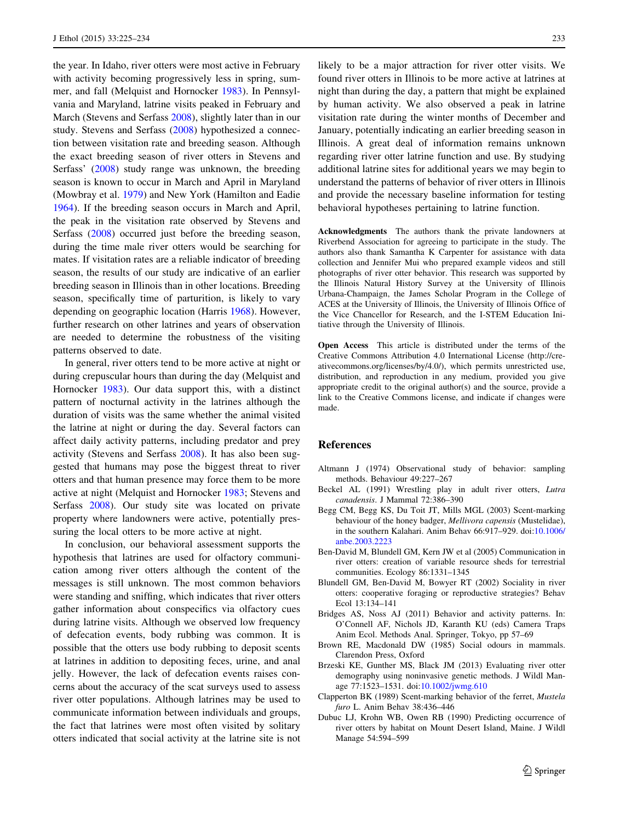<span id="page-8-0"></span>the year. In Idaho, river otters were most active in February with activity becoming progressively less in spring, summer, and fall (Melquist and Hornocker [1983](#page-9-0)). In Pennsylvania and Maryland, latrine visits peaked in February and March (Stevens and Serfass [2008\)](#page-9-0), slightly later than in our study. Stevens and Serfass ([2008\)](#page-9-0) hypothesized a connection between visitation rate and breeding season. Although the exact breeding season of river otters in Stevens and Serfass' [\(2008](#page-9-0)) study range was unknown, the breeding season is known to occur in March and April in Maryland (Mowbray et al. [1979\)](#page-9-0) and New York (Hamilton and Eadie [1964\)](#page-9-0). If the breeding season occurs in March and April, the peak in the visitation rate observed by Stevens and Serfass ([2008\)](#page-9-0) occurred just before the breeding season, during the time male river otters would be searching for mates. If visitation rates are a reliable indicator of breeding season, the results of our study are indicative of an earlier breeding season in Illinois than in other locations. Breeding season, specifically time of parturition, is likely to vary depending on geographic location (Harris [1968](#page-9-0)). However, further research on other latrines and years of observation are needed to determine the robustness of the visiting patterns observed to date.

In general, river otters tend to be more active at night or during crepuscular hours than during the day (Melquist and Hornocker [1983\)](#page-9-0). Our data support this, with a distinct pattern of nocturnal activity in the latrines although the duration of visits was the same whether the animal visited the latrine at night or during the day. Several factors can affect daily activity patterns, including predator and prey activity (Stevens and Serfass [2008](#page-9-0)). It has also been suggested that humans may pose the biggest threat to river otters and that human presence may force them to be more active at night (Melquist and Hornocker [1983](#page-9-0); Stevens and Serfass [2008](#page-9-0)). Our study site was located on private property where landowners were active, potentially pressuring the local otters to be more active at night.

In conclusion, our behavioral assessment supports the hypothesis that latrines are used for olfactory communication among river otters although the content of the messages is still unknown. The most common behaviors were standing and sniffing, which indicates that river otters gather information about conspecifics via olfactory cues during latrine visits. Although we observed low frequency of defecation events, body rubbing was common. It is possible that the otters use body rubbing to deposit scents at latrines in addition to depositing feces, urine, and anal jelly. However, the lack of defecation events raises concerns about the accuracy of the scat surveys used to assess river otter populations. Although latrines may be used to communicate information between individuals and groups, the fact that latrines were most often visited by solitary otters indicated that social activity at the latrine site is not likely to be a major attraction for river otter visits. We found river otters in Illinois to be more active at latrines at night than during the day, a pattern that might be explained by human activity. We also observed a peak in latrine visitation rate during the winter months of December and January, potentially indicating an earlier breeding season in Illinois. A great deal of information remains unknown regarding river otter latrine function and use. By studying additional latrine sites for additional years we may begin to understand the patterns of behavior of river otters in Illinois and provide the necessary baseline information for testing behavioral hypotheses pertaining to latrine function.

Acknowledgments The authors thank the private landowners at Riverbend Association for agreeing to participate in the study. The authors also thank Samantha K Carpenter for assistance with data collection and Jennifer Mui who prepared example videos and still photographs of river otter behavior. This research was supported by the Illinois Natural History Survey at the University of Illinois Urbana-Champaign, the James Scholar Program in the College of ACES at the University of Illinois, the University of Illinois Office of the Vice Chancellor for Research, and the I-STEM Education Initiative through the University of Illinois.

Open Access This article is distributed under the terms of the Creative Commons Attribution 4.0 International License (http://creativecommons.org/licenses/by/4.0/), which permits unrestricted use, distribution, and reproduction in any medium, provided you give appropriate credit to the original author(s) and the source, provide a link to the Creative Commons license, and indicate if changes were made.

## References

- Altmann J (1974) Observational study of behavior: sampling methods. Behaviour 49:227–267
- Beckel AL (1991) Wrestling play in adult river otters, Lutra canadensis. J Mammal 72:386–390
- Begg CM, Begg KS, Du Toit JT, Mills MGL (2003) Scent-marking behaviour of the honey badger, Mellivora capensis (Mustelidae), in the southern Kalahari. Anim Behav 66:917–929. doi[:10.1006/](http://dx.doi.org/10.1006/anbe.2003.2223) [anbe.2003.2223](http://dx.doi.org/10.1006/anbe.2003.2223)
- Ben-David M, Blundell GM, Kern JW et al (2005) Communication in river otters: creation of variable resource sheds for terrestrial communities. Ecology 86:1331–1345
- Blundell GM, Ben-David M, Bowyer RT (2002) Sociality in river otters: cooperative foraging or reproductive strategies? Behav Ecol 13:134–141
- Bridges AS, Noss AJ (2011) Behavior and activity patterns. In: O'Connell AF, Nichols JD, Karanth KU (eds) Camera Traps Anim Ecol. Methods Anal. Springer, Tokyo, pp 57–69
- Brown RE, Macdonald DW (1985) Social odours in mammals. Clarendon Press, Oxford
- Brzeski KE, Gunther MS, Black JM (2013) Evaluating river otter demography using noninvasive genetic methods. J Wildl Manage 77:1523–1531. doi:[10.1002/jwmg.610](http://dx.doi.org/10.1002/jwmg.610)
- Clapperton BK (1989) Scent-marking behavior of the ferret, Mustela furo L. Anim Behav 38:436–446
- Dubuc LJ, Krohn WB, Owen RB (1990) Predicting occurrence of river otters by habitat on Mount Desert Island, Maine. J Wildl Manage 54:594–599